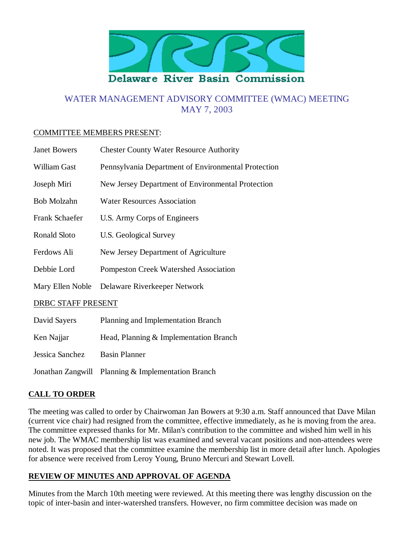

# WATER MANAGEMENT ADVISORY COMMITTEE (WMAC) MEETING MAY 7, 2003

#### COMMITTEE MEMBERS PRESENT:

| <b>Janet Bowers</b>   | <b>Chester County Water Resource Authority</b>      |
|-----------------------|-----------------------------------------------------|
| William Gast          | Pennsylvania Department of Environmental Protection |
| Joseph Miri           | New Jersey Department of Environmental Protection   |
| Bob Molzahn           | <b>Water Resources Association</b>                  |
| <b>Frank Schaefer</b> | U.S. Army Corps of Engineers                        |
| Ronald Sloto          | U.S. Geological Survey                              |
| Ferdows Ali           | New Jersey Department of Agriculture                |
| Debbie Lord           | <b>Pompeston Creek Watershed Association</b>        |
| Mary Ellen Noble      | Delaware Riverkeeper Network                        |
| DRBC STAFF PRESENT    |                                                     |
| David Sayers          | Planning and Implementation Branch                  |
| Ken Najjar            | Head, Planning & Implementation Branch              |
|                       |                                                     |

Jessica Sanchez Basin Planner

Jonathan Zangwill Planning & Implementation Branch

## **CALL TO ORDER**

The meeting was called to order by Chairwoman Jan Bowers at 9:30 a.m. Staff announced that Dave Milan (current vice chair) had resigned from the committee, effective immediately, as he is moving from the area. The committee expressed thanks for Mr. Milan's contribution to the committee and wished him well in his new job. The WMAC membership list was examined and several vacant positions and non-attendees were noted. It was proposed that the committee examine the membership list in more detail after lunch. Apologies for absence were received from Leroy Young, Bruno Mercuri and Stewart Lovell.

#### **REVIEW OF MINUTES AND APPROVAL OF AGENDA**

Minutes from the March 10th meeting were reviewed. At this meeting there was lengthy discussion on the topic of inter-basin and inter-watershed transfers. However, no firm committee decision was made on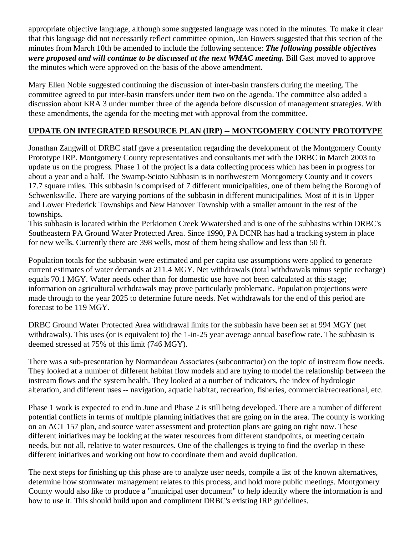appropriate objective language, although some suggested language was noted in the minutes. To make it clear that this language did not necessarily reflect committee opinion, Jan Bowers suggested that this section of the minutes from March 10th be amended to include the following sentence: *The following possible objectives were proposed and will continue to be discussed at the next WMAC meeting.* Bill Gast moved to approve the minutes which were approved on the basis of the above amendment.

Mary Ellen Noble suggested continuing the discussion of inter-basin transfers during the meeting. The committee agreed to put inter-basin transfers under item two on the agenda. The committee also added a discussion about KRA 3 under number three of the agenda before discussion of management strategies. With these amendments, the agenda for the meeting met with approval from the committee.

#### **UPDATE ON INTEGRATED RESOURCE PLAN (IRP) -- MONTGOMERY COUNTY PROTOTYPE**

Jonathan Zangwill of DRBC staff gave a presentation regarding the development of the Montgomery County Prototype IRP. Montgomery County representatives and consultants met with the DRBC in March 2003 to update us on the progress. Phase 1 of the project is a data collecting process which has been in progress for about a year and a half. The Swamp-Scioto Subbasin is in northwestern Montgomery County and it covers 17.7 square miles. This subbasin is comprised of 7 different municipalities, one of them being the Borough of Schwenksville. There are varying portions of the subbasin in different municipalities. Most of it is in Upper and Lower Frederick Townships and New Hanover Township with a smaller amount in the rest of the townships.

This subbasin is located within the Perkiomen Creek Wwatershed and is one of the subbasins within DRBC's Southeastern PA Ground Water Protected Area. Since 1990, PA DCNR has had a tracking system in place for new wells. Currently there are 398 wells, most of them being shallow and less than 50 ft.

Population totals for the subbasin were estimated and per capita use assumptions were applied to generate current estimates of water demands at 211.4 MGY. Net withdrawals (total withdrawals minus septic recharge) equals 70.1 MGY. Water needs other than for domestic use have not been calculated at this stage; information on agricultural withdrawals may prove particularly problematic. Population projections were made through to the year 2025 to determine future needs. Net withdrawals for the end of this period are forecast to be 119 MGY.

DRBC Ground Water Protected Area withdrawal limits for the subbasin have been set at 994 MGY (net withdrawals). This uses (or is equivalent to) the 1-in-25 year average annual baseflow rate. The subbasin is deemed stressed at 75% of this limit (746 MGY).

There was a sub-presentation by Normandeau Associates (subcontractor) on the topic of instream flow needs. They looked at a number of different habitat flow models and are trying to model the relationship between the instream flows and the system health. They looked at a number of indicators, the index of hydrologic alteration, and different uses -- navigation, aquatic habitat, recreation, fisheries, commercial/recreational, etc.

Phase 1 work is expected to end in June and Phase 2 is still being developed. There are a number of different potential conflicts in terms of multiple planning initiatives that are going on in the area. The county is working on an ACT 157 plan, and source water assessment and protection plans are going on right now. These different initiatives may be looking at the water resources from different standpoints, or meeting certain needs, but not all, relative to water resources. One of the challenges is trying to find the overlap in these different initiatives and working out how to coordinate them and avoid duplication.

The next steps for finishing up this phase are to analyze user needs, compile a list of the known alternatives, determine how stormwater management relates to this process, and hold more public meetings. Montgomery County would also like to produce a "municipal user document" to help identify where the information is and how to use it. This should build upon and compliment DRBC's existing IRP guidelines.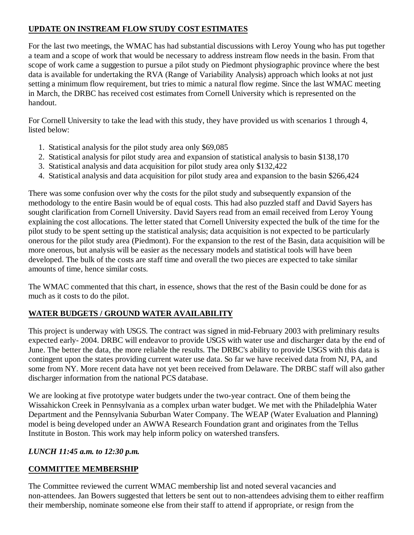# **UPDATE ON INSTREAM FLOW STUDY COST ESTIMATES**

For the last two meetings, the WMAC has had substantial discussions with Leroy Young who has put together a team and a scope of work that would be necessary to address instream flow needs in the basin. From that scope of work came a suggestion to pursue a pilot study on Piedmont physiographic province where the best data is available for undertaking the RVA (Range of Variability Analysis) approach which looks at not just setting a minimum flow requirement, but tries to mimic a natural flow regime. Since the last WMAC meeting in March, the DRBC has received cost estimates from Cornell University which is represented on the handout.

For Cornell University to take the lead with this study, they have provided us with scenarios 1 through 4, listed below:

- 1. Statistical analysis for the pilot study area only \$69,085
- 2. Statistical analysis for pilot study area and expansion of statistical analysis to basin \$138,170
- 3. Statistical analysis and data acquisition for pilot study area only \$132,422
- 4. Statistical analysis and data acquisition for pilot study area and expansion to the basin \$266,424

There was some confusion over why the costs for the pilot study and subsequently expansion of the methodology to the entire Basin would be of equal costs. This had also puzzled staff and David Sayers has sought clarification from Cornell University. David Sayers read from an email received from Leroy Young explaining the cost allocations. The letter stated that Cornell University expected the bulk of the time for the pilot study to be spent setting up the statistical analysis; data acquisition is not expected to be particularly onerous for the pilot study area (Piedmont). For the expansion to the rest of the Basin, data acquisition will be more onerous, but analysis will be easier as the necessary models and statistical tools will have been developed. The bulk of the costs are staff time and overall the two pieces are expected to take similar amounts of time, hence similar costs.

The WMAC commented that this chart, in essence, shows that the rest of the Basin could be done for as much as it costs to do the pilot.

# **WATER BUDGETS / GROUND WATER AVAILABILITY**

This project is underway with USGS. The contract was signed in mid-February 2003 with preliminary results expected early- 2004. DRBC will endeavor to provide USGS with water use and discharger data by the end of June. The better the data, the more reliable the results. The DRBC's ability to provide USGS with this data is contingent upon the states providing current water use data. So far we have received data from NJ, PA, and some from NY. More recent data have not yet been received from Delaware. The DRBC staff will also gather discharger information from the national PCS database.

We are looking at five prototype water budgets under the two-year contract. One of them being the Wissahickon Creek in Pennsylvania as a complex urban water budget. We met with the Philadelphia Water Department and the Pennsylvania Suburban Water Company. The WEAP (Water Evaluation and Planning) model is being developed under an AWWA Research Foundation grant and originates from the Tellus Institute in Boston. This work may help inform policy on watershed transfers.

## *LUNCH 11:45 a.m. to 12:30 p.m.*

## **COMMITTEE MEMBERSHIP**

The Committee reviewed the current WMAC membership list and noted several vacancies and non-attendees. Jan Bowers suggested that letters be sent out to non-attendees advising them to either reaffirm their membership, nominate someone else from their staff to attend if appropriate, or resign from the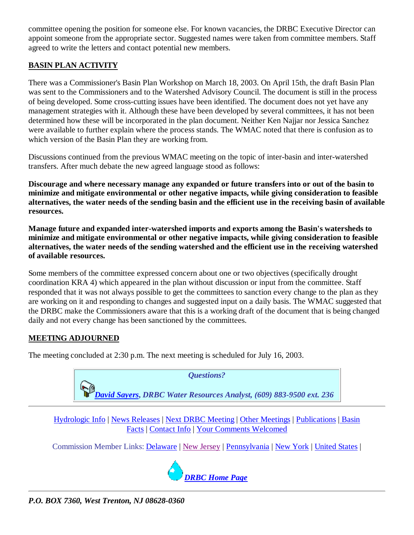committee opening the position for someone else. For known vacancies, the DRBC Executive Director can appoint someone from the appropriate sector. Suggested names were taken from committee members. Staff agreed to write the letters and contact potential new members.

# **BASIN PLAN ACTIVITY**

There was a Commissioner's Basin Plan Workshop on March 18, 2003. On April 15th, the draft Basin Plan was sent to the Commissioners and to the Watershed Advisory Council. The document is still in the process of being developed. Some cross-cutting issues have been identified. The document does not yet have any management strategies with it. Although these have been developed by several committees, it has not been determined how these will be incorporated in the plan document. Neither Ken Najjar nor Jessica Sanchez were available to further explain where the process stands. The WMAC noted that there is confusion as to which version of the Basin Plan they are working from.

Discussions continued from the previous WMAC meeting on the topic of inter-basin and inter-watershed transfers. After much debate the new agreed language stood as follows:

**Discourage and where necessary manage any expanded or future transfers into or out of the basin to minimize and mitigate environmental or other negative impacts, while giving consideration to feasible alternatives, the water needs of the sending basin and the efficient use in the receiving basin of available resources.**

**Manage future and expanded inter-watershed imports and exports among the Basin's watersheds to minimize and mitigate environmental or other negative impacts, while giving consideration to feasible alternatives, the water needs of the sending watershed and the efficient use in the receiving watershed of available resources.**

Some members of the committee expressed concern about one or two objectives (specifically drought coordination KRA 4) which appeared in the plan without discussion or input from the committee. Staff responded that it was not always possible to get the committees to sanction every change to the plan as they are working on it and responding to changes and suggested input on a daily basis. The WMAC suggested that the DRBC make the Commissioners aware that this is a working draft of the document that is being changed daily and not every change has been sanctioned by the committees.

## **MEETING ADJOURNED**

The meeting concluded at 2:30 p.m. The next meeting is scheduled for July 16, 2003.



Hydrologic Info | News Releases | Next DRBC Meeting | Other Meetings | Publications | Basin Facts | Contact Info | Your Comments Welcomed

Commission Member Links: Delaware | New Jersey | Pennsylvania | New York | United States |



*P.O. BOX 7360, West Trenton, NJ 08628-0360*